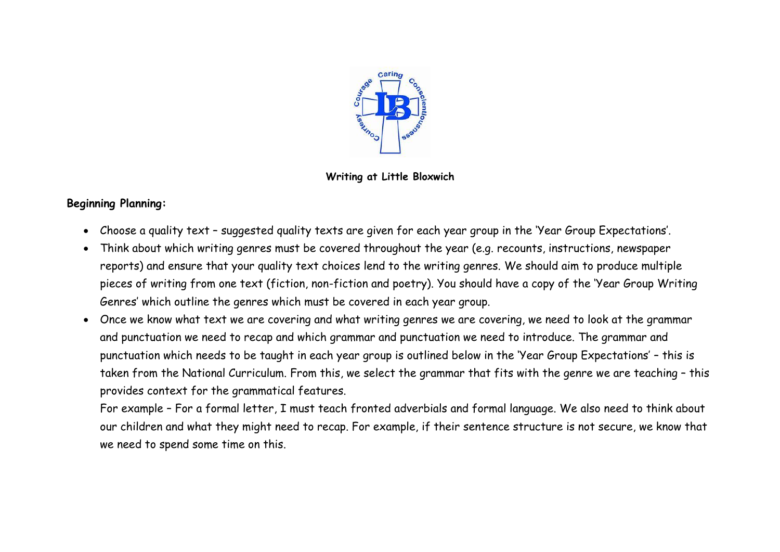

**Writing at Little Bloxwich**

# **Beginning Planning:**

- Choose a quality text suggested quality texts are given for each year group in the 'Year Group Expectations'.
- Think about which writing genres must be covered throughout the year (e.g. recounts, instructions, newspaper reports) and ensure that your quality text choices lend to the writing genres. We should aim to produce multiple pieces of writing from one text (fiction, non-fiction and poetry). You should have a copy of the 'Year Group Writing Genres' which outline the genres which must be covered in each year group.
- Once we know what text we are covering and what writing genres we are covering, we need to look at the grammar and punctuation we need to recap and which grammar and punctuation we need to introduce. The grammar and punctuation which needs to be taught in each year group is outlined below in the 'Year Group Expectations' – this is taken from the National Curriculum. From this, we select the grammar that fits with the genre we are teaching – this provides context for the grammatical features.

For example – For a formal letter, I must teach fronted adverbials and formal language. We also need to think about our children and what they might need to recap. For example, if their sentence structure is not secure, we know that we need to spend some time on this.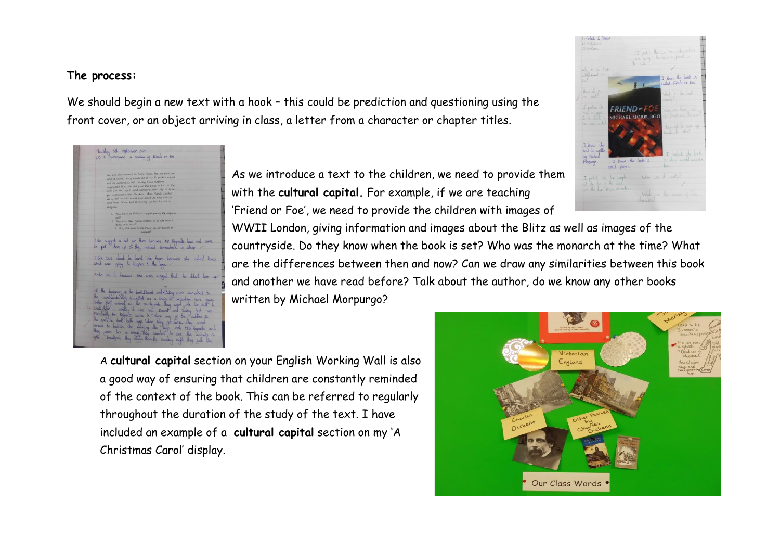## **The process:**

We should begin a new text with a hook - this could be prediction and questioning using the front cover, or an object arriving in class, a letter from a character or chapter titles.



As we introduce a text to the children, we need to provide them with the **cultural capital.** For example, if we are teaching 'Friend or Foe', we need to provide the children with images of

WWII London, giving information and images about the Blitz as well as images of the countryside. Do they know when the book is set? Who was the monarch at the time? What are the differences between then and now? Can we draw any similarities between this book and another we have read before? Talk about the author, do we know any other books written by Michael Morpurgo?

A **cultural capital** section on your English Working Wall is also a good way of ensuring that children are constantly reminded of the context of the book. This can be referred to regularly throughout the duration of the study of the text. I have included an example of a **cultural capital** section on my 'A Christmas Carol' display.



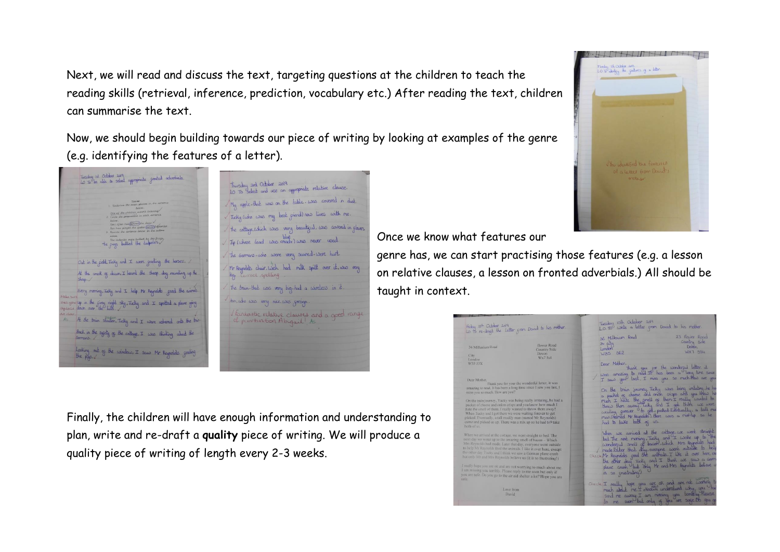Next, we will read and discuss the text, targeting questions at the children to teach the reading skills (retrieval, inference, prediction, vocabulary etc.) After reading the text, children can summarise the text.

Now, we should begin building towards our piece of writing by looking at examples of the genre (e.g. identifying the features of a letter).



| Thurschy and October 2019<br>LO To select and use an appropriate relative clause. |
|-----------------------------------------------------------------------------------|
| My apple-that was on the table-was covered in dust.                               |
| Tucky (who was my best griend) now lives with me.                                 |
| The cattage, which was very beautiquel. was covered in glass                      |
| Jip (whose lead was xready) was never used.                                       |
| The Germans-who were very scared-were hurt.                                       |
| Mr Raynolds chair. Wich had milk spill over ik. was very<br>big. Correct spelling |
| The train-that was very big-had a wireless in it.                                 |
| An, who was very nice, was gorign.                                                |
| lantastic relative clauses and a good range<br>of punctuation Abigail ! As        |
|                                                                                   |
|                                                                                   |
|                                                                                   |

Finally, the children will have enough information and understanding to plan, write and re-draft a **quality** piece of writing. We will produce a quality piece of writing of length every 2-3 weeks.

Once we know what features our

genre has, we can start practising those features (e.g. a lesson on relative clauses, a lesson on fronted adverbials.) All should be taught in context.

| Fiday 18th October 2019<br>Lo to re-drugt the Letter gran David to his milher.                                                                                                                                                                                                                                                                                                                        |                                                        | Tresday 15th October 2019<br>L.O. To write a letter gram David to his mother. |                                                                                                                                                                                                                                                                 |
|-------------------------------------------------------------------------------------------------------------------------------------------------------------------------------------------------------------------------------------------------------------------------------------------------------------------------------------------------------------------------------------------------------|--------------------------------------------------------|-------------------------------------------------------------------------------|-----------------------------------------------------------------------------------------------------------------------------------------------------------------------------------------------------------------------------------------------------------------|
| 36 Millenium Road<br>City.<br>London                                                                                                                                                                                                                                                                                                                                                                  | flower Road<br><b>Country Side</b><br>Devon<br>Wx7 5s4 | 36 Millenum Road<br>3x city<br>London<br>362<br>W35                           | 23 Flower Road<br>Country side<br>Depon<br><b>WX7 BS4</b>                                                                                                                                                                                                       |
| W35 53X<br>Dear Mother,                                                                                                                                                                                                                                                                                                                                                                               |                                                        | Dear Mother,                                                                  | thank you get the wonderful letter, it<br>was amazing to read. If has been a long time since<br>I saw you last. I miss you so much theo are you                                                                                                                 |
| Thank you for your the wonderful letter, it was<br>amazing to read. It has been a long time since I saw you last, I<br>miss you so much. How are you?                                                                                                                                                                                                                                                 | ٠<br>٠                                                 |                                                                               | On the train journey, Ticky was being imbating, he has<br>a pocket og cheese and onion crisps and you know ha                                                                                                                                                   |
| On the train journey, Yucky was being really irritating, he had a<br>packet of cheese and onion crisps and you know how much I<br>hate the smell of them. I really wanted to throw them away!<br>When Tucky and I got there we were waiting forever to get<br>picked. Eventually, a tall muddy man (named Mr Reynolds)<br>came and picked us up. There was a mix up so he had to9 take<br>both of us. | ٠                                                      | had to bake book of us.                                                       | muh I hake the smell of them's really usualed to<br>three them away lucky and I get three use were<br>writing sereor the get picked Europaully, a tall me<br>manifedned Mr Reynolds). Here was a mixtup so he                                                   |
| When we arrived at the cottage, we went straight to bed. The<br>next day we woke up to the amazing smell of bacon-Which<br>Mrs Reynolds had made. Later that day, everyone went outside<br>to help Mr Reynolds feed the animals. I like it over here, except<br>the other day. Tucky and I think we saw a German plane erash<br>but only Mr and Mrs Reynolds believe us (it is so frustrating!)       |                                                        | Check Mr Reynolds goed the anthrals. I like it over here exc                  | When use arrived at the cottage, we were straight<br>bed. The next maning, Tucky and I woke up to the<br>wonderful smell of bacon-which Mrs Reynolds had<br>made baker that day, everyone went outside to help<br>the other day ticky and I think we saw a Gorm |
| I really hope you are ok and are not worrying to much about me.<br>I am missing you terribly. Please reply to me soon but only if<br>you are safe. Do you go to the air aid shelter a lot? Hope you are<br>sufe                                                                                                                                                                                       |                                                        | us so grustrating!)                                                           | plane crosh but only Mr and Mrs Asynalds believe u                                                                                                                                                                                                              |
| Love from<br>David                                                                                                                                                                                                                                                                                                                                                                                    |                                                        | check I really hope you are off and are not working<br>bo                     | much about me I strains understand why you<br>send me away. I am missing you terribly. Hease<br>me sam but only if you are sace. Ob up as                                                                                                                       |

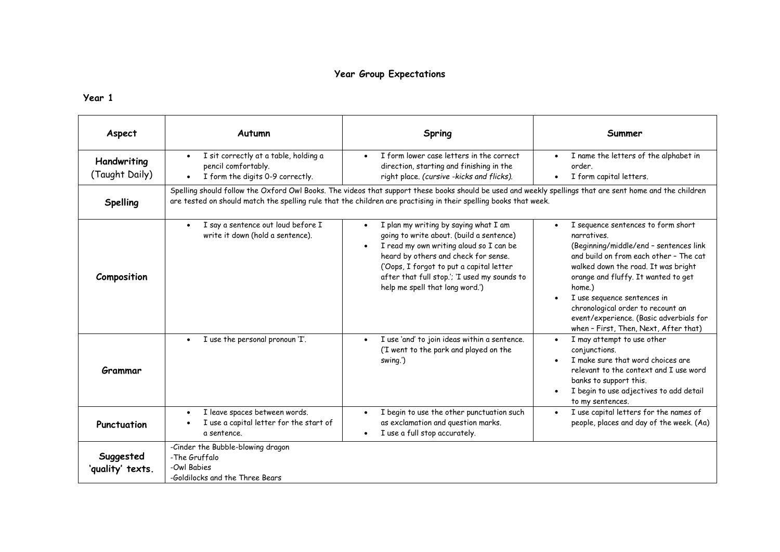## **Year Group Expectations**

| Aspect                        | Autumn                                                                                               | Spring                                                                                                                                                                                                                                                                                              | Summer                                                                                                                                                                                                                                                                                                                                                                                |
|-------------------------------|------------------------------------------------------------------------------------------------------|-----------------------------------------------------------------------------------------------------------------------------------------------------------------------------------------------------------------------------------------------------------------------------------------------------|---------------------------------------------------------------------------------------------------------------------------------------------------------------------------------------------------------------------------------------------------------------------------------------------------------------------------------------------------------------------------------------|
| Handwriting<br>(Taught Daily) | I sit correctly at a table, holding a<br>pencil comfortably.<br>I form the digits 0-9 correctly.     | I form lower case letters in the correct<br>direction, starting and finishing in the<br>right place. (cursive -kicks and flicks).                                                                                                                                                                   | I name the letters of the alphabet in<br>order.<br>I form capital letters.                                                                                                                                                                                                                                                                                                            |
| Spelling                      |                                                                                                      | Spelling should follow the Oxford Owl Books. The videos that support these books should be used and weekly spellings that are sent home and the children<br>are tested on should match the spelling rule that the children are practising in their spelling books that week.                        |                                                                                                                                                                                                                                                                                                                                                                                       |
| Composition                   | I say a sentence out loud before I<br>write it down (hold a sentence).                               | I plan my writing by saying what I am<br>going to write about. (build a sentence)<br>I read my own writing aloud so I can be<br>heard by others and check for sense.<br>('Oops, I forgot to put a capital letter<br>after that full stop.'; 'I used my sounds to<br>help me spell that long word.') | I sequence sentences to form short<br>narratives.<br>(Beginning/middle/end - sentences link<br>and build on from each other - The cat<br>walked down the road. It was bright<br>orange and fluffy. It wanted to get<br>home.)<br>I use sequence sentences in<br>chronological order to recount an<br>event/experience. (Basic adverbials for<br>when - First, Then, Next, After that) |
| Grammar                       | I use the personal pronoun 'I'.<br>$\bullet$                                                         | I use 'and' to join ideas within a sentence.<br>$\bullet$<br>('I went to the park and played on the<br>swing.')                                                                                                                                                                                     | I may attempt to use other<br>$\bullet$<br>conjunctions.<br>I make sure that word choices are<br>relevant to the context and I use word<br>banks to support this.<br>I begin to use adjectives to add detail<br>to my sentences.                                                                                                                                                      |
| Punctuation                   | I leave spaces between words.<br>$\bullet$<br>I use a capital letter for the start of<br>a sentence. | I begin to use the other punctuation such<br>as exclamation and question marks.<br>I use a full stop accurately.                                                                                                                                                                                    | I use capital letters for the names of<br>$\bullet$<br>people, places and day of the week. (Aa)                                                                                                                                                                                                                                                                                       |
| Suggested<br>'quality' texts. | -Cinder the Bubble-blowing dragon<br>-The Gruffalo<br>-Owl Babies<br>-Goldilocks and the Three Bears |                                                                                                                                                                                                                                                                                                     |                                                                                                                                                                                                                                                                                                                                                                                       |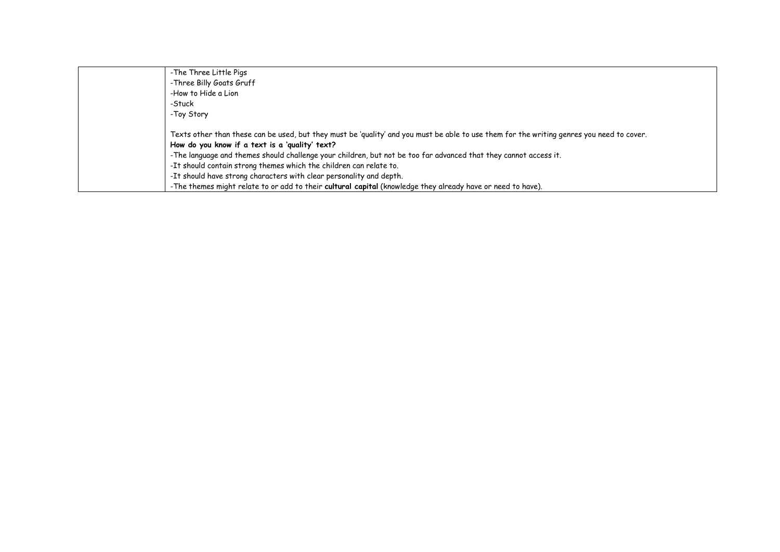| -The Three Little Pigs                                                                                                                    |
|-------------------------------------------------------------------------------------------------------------------------------------------|
| -Three Billy Goats Gruff                                                                                                                  |
| -How to Hide a Lion                                                                                                                       |
| -Stuck                                                                                                                                    |
| -Toy Story                                                                                                                                |
| Texts other than these can be used, but they must be 'quality' and you must be able to use them for the writing genres you need to cover. |
| How do you know if a text is a 'quality' text?                                                                                            |
| -The language and themes should challenge your children, but not be too far advanced that they cannot access it.                          |
| -It should contain strong themes which the children can relate to.                                                                        |
| -It should have strong characters with clear personality and depth.                                                                       |
| -The themes might relate to or add to their cultural capital (knowledge they already have or need to have).                               |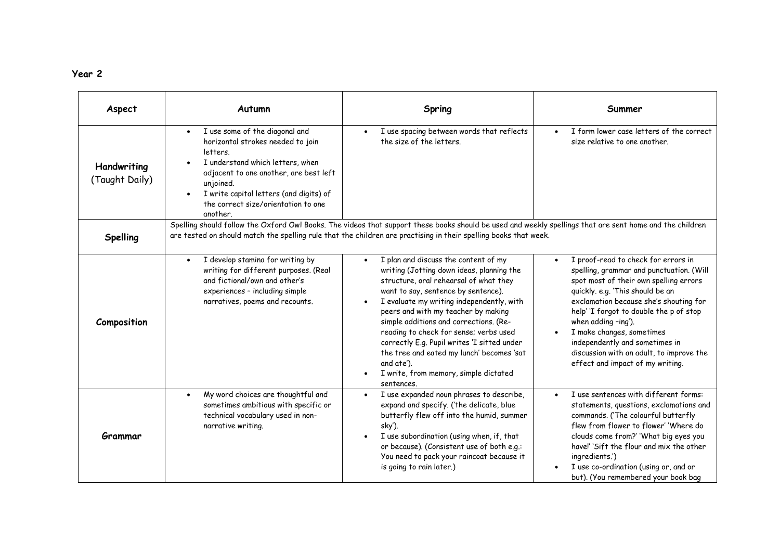| Aspect                        | Autumn                                                                                                                                                                                                                                                                                | Spring                                                                                                                                                                                                                                                                                                                                                                                                                                                                                                      | Summer                                                                                                                                                                                                                                                                                                                                                                                                                   |
|-------------------------------|---------------------------------------------------------------------------------------------------------------------------------------------------------------------------------------------------------------------------------------------------------------------------------------|-------------------------------------------------------------------------------------------------------------------------------------------------------------------------------------------------------------------------------------------------------------------------------------------------------------------------------------------------------------------------------------------------------------------------------------------------------------------------------------------------------------|--------------------------------------------------------------------------------------------------------------------------------------------------------------------------------------------------------------------------------------------------------------------------------------------------------------------------------------------------------------------------------------------------------------------------|
| Handwriting<br>(Taught Daily) | I use some of the diagonal and<br>$\bullet$<br>horizontal strokes needed to join<br>letters.<br>I understand which letters, when<br>adjacent to one another, are best left<br>unjoined.<br>I write capital letters (and digits) of<br>the correct size/orientation to one<br>another. | I use spacing between words that reflects<br>the size of the letters.                                                                                                                                                                                                                                                                                                                                                                                                                                       | I form lower case letters of the correct<br>size relative to one another.                                                                                                                                                                                                                                                                                                                                                |
| Spelling                      |                                                                                                                                                                                                                                                                                       | Spelling should follow the Oxford Owl Books. The videos that support these books should be used and weekly spellings that are sent home and the children<br>are tested on should match the spelling rule that the children are practising in their spelling books that week.                                                                                                                                                                                                                                |                                                                                                                                                                                                                                                                                                                                                                                                                          |
| Composition                   | I develop stamina for writing by<br>$\bullet$<br>writing for different purposes. (Real<br>and fictional/own and other's<br>experiences - including simple<br>narratives, poems and recounts.                                                                                          | I plan and discuss the content of my<br>writing (Jotting down ideas, planning the<br>structure, oral rehearsal of what they<br>want to say, sentence by sentence).<br>I evaluate my writing independently, with<br>peers and with my teacher by making<br>simple additions and corrections. (Re-<br>reading to check for sense; verbs used<br>correctly E.g. Pupil writes 'I sitted under<br>the tree and eated my lunch' becomes 'sat<br>and ate').<br>I write, from memory, simple dictated<br>sentences. | I proof-read to check for errors in<br>spelling, grammar and punctuation. (Will<br>spot most of their own spelling errors<br>quickly. e.g. 'This should be an<br>exclamation because she's shouting for<br>help' 'I forgot to double the p of stop<br>when adding -ing').<br>I make changes, sometimes<br>independently and sometimes in<br>discussion with an adult, to improve the<br>effect and impact of my writing. |
| Grammar                       | My word choices are thoughtful and<br>$\bullet$<br>sometimes ambitious with specific or<br>technical vocabulary used in non-<br>narrative writing.                                                                                                                                    | I use expanded noun phrases to describe,<br>expand and specify. ('the delicate, blue<br>butterfly flew off into the humid, summer<br>sky').<br>I use subordination (using when, if, that<br>or because). (Consistent use of both e.g.:<br>You need to pack your raincoat because it<br>is going to rain later.)                                                                                                                                                                                             | I use sentences with different forms:<br>$\bullet$<br>statements, questions, exclamations and<br>commands. ('The colourful butterfly<br>flew from flower to flower' 'Where do<br>clouds come from?' 'What big eyes you<br>have!' 'Sift the flour and mix the other<br>ingredients.')<br>I use co-ordination (using or, and or<br>but). (You remembered your book bag                                                     |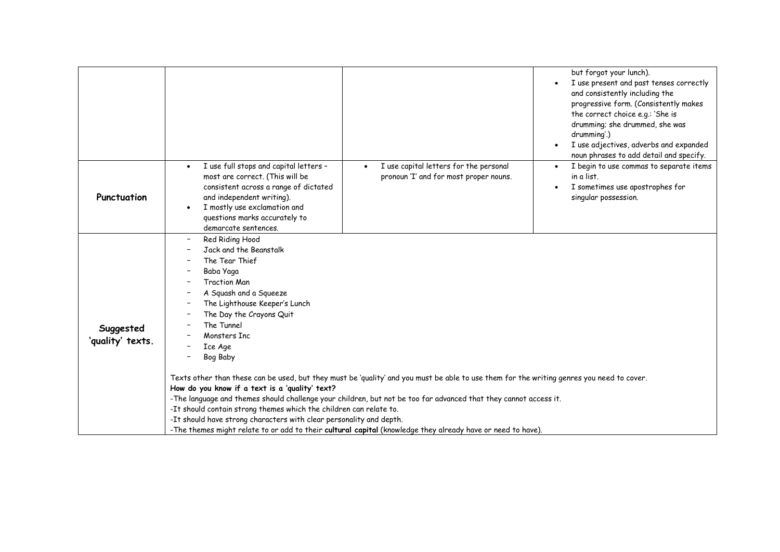|                               | but forgot your lunch).<br>I use present and past tenses correctly<br>and consistently including the<br>progressive form. (Consistently makes<br>the correct choice e.g.: 'She is<br>drumming; she drummed, she was<br>drumming'.)<br>I use adjectives, adverbs and expanded<br>noun phrases to add detail and specify.                                                                                                                                                                                                                                                                                                                                                                                                                                                                                                    |
|-------------------------------|----------------------------------------------------------------------------------------------------------------------------------------------------------------------------------------------------------------------------------------------------------------------------------------------------------------------------------------------------------------------------------------------------------------------------------------------------------------------------------------------------------------------------------------------------------------------------------------------------------------------------------------------------------------------------------------------------------------------------------------------------------------------------------------------------------------------------|
| Punctuation                   | I use full stops and capital letters -<br>I use capital letters for the personal<br>I begin to use commas to separate items<br>$\bullet$<br>most are correct. (This will be<br>pronoun 'I' and for most proper nouns.<br>in a list.<br>consistent across a range of dictated<br>I sometimes use apostrophes for<br>and independent writing).<br>singular possession.<br>I mostly use exclamation and<br>questions marks accurately to<br>demarcate sentences.                                                                                                                                                                                                                                                                                                                                                              |
| Suggested<br>'quality' texts. | Red Riding Hood<br>Jack and the Beanstalk<br>The Tear Thief<br>Baba Yaga<br><b>Traction Man</b><br>A Squash and a Squeeze<br>The Lighthouse Keeper's Lunch<br>The Day the Crayons Quit<br>The Tunnel<br>Monsters Inc<br>Ice Age<br>Bog Baby<br>Texts other than these can be used, but they must be 'quality' and you must be able to use them for the writing genres you need to cover.<br>How do you know if a text is a 'quality' text?<br>-The language and themes should challenge your children, but not be too far advanced that they cannot access it.<br>-It should contain strong themes which the children can relate to.<br>-It should have strong characters with clear personality and depth.<br>-The themes might relate to or add to their cultural capital (knowledge they already have or need to have). |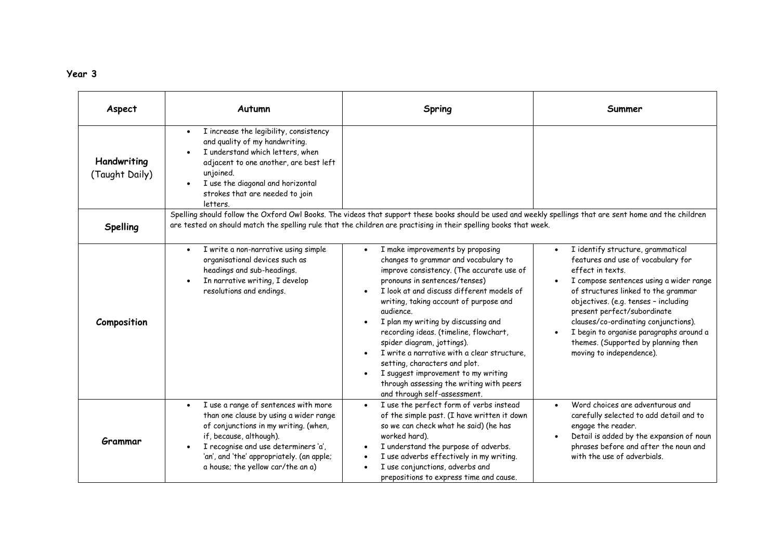| ×<br>×<br>٧ | × |
|-------------|---|
|-------------|---|

| Aspect                        | Autumn                                                                                                                                                                                                                                                                                    | Spring                                                                                                                                                                                                                                                                                                                                                                                                                                                                                                                                                                       | Summer                                                                                                                                                                                                                                                                                                                                                                                                     |
|-------------------------------|-------------------------------------------------------------------------------------------------------------------------------------------------------------------------------------------------------------------------------------------------------------------------------------------|------------------------------------------------------------------------------------------------------------------------------------------------------------------------------------------------------------------------------------------------------------------------------------------------------------------------------------------------------------------------------------------------------------------------------------------------------------------------------------------------------------------------------------------------------------------------------|------------------------------------------------------------------------------------------------------------------------------------------------------------------------------------------------------------------------------------------------------------------------------------------------------------------------------------------------------------------------------------------------------------|
| Handwriting<br>(Taught Daily) | I increase the legibility, consistency<br>$\bullet$<br>and quality of my handwriting.<br>I understand which letters, when<br>adjacent to one another, are best left<br>unjoined.<br>I use the diagonal and horizontal<br>strokes that are needed to join<br>letters.                      |                                                                                                                                                                                                                                                                                                                                                                                                                                                                                                                                                                              |                                                                                                                                                                                                                                                                                                                                                                                                            |
| <b>Spelling</b>               |                                                                                                                                                                                                                                                                                           | Spelling should follow the Oxford Owl Books. The videos that support these books should be used and weekly spellings that are sent home and the children<br>are tested on should match the spelling rule that the children are practising in their spelling books that week.                                                                                                                                                                                                                                                                                                 |                                                                                                                                                                                                                                                                                                                                                                                                            |
| Composition                   | I write a non-narrative using simple<br>$\bullet$<br>organisational devices such as<br>headings and sub-headings.<br>In narrative writing, I develop<br>resolutions and endings.                                                                                                          | I make improvements by proposing<br>changes to grammar and vocabulary to<br>improve consistency. (The accurate use of<br>pronouns in sentences/tenses)<br>I look at and discuss different models of<br>writing, taking account of purpose and<br>audience.<br>I plan my writing by discussing and<br>recording ideas. (timeline, flowchart,<br>spider diagram, jottings).<br>I write a narrative with a clear structure,<br>setting, characters and plot.<br>I suggest improvement to my writing<br>through assessing the writing with peers<br>and through self-assessment. | I identify structure, grammatical<br>features and use of vocabulary for<br>effect in texts.<br>I compose sentences using a wider range<br>of structures linked to the grammar<br>objectives. (e.g. tenses - including<br>present perfect/subordinate<br>clauses/co-ordinating conjunctions).<br>I begin to organise paragraphs around a<br>themes. (Supported by planning then<br>moving to independence). |
| Grammar                       | I use a range of sentences with more<br>$\bullet$<br>than one clause by using a wider range<br>of conjunctions in my writing. (when,<br>if, because, although).<br>I recognise and use determiners 'a',<br>'an', and 'the' appropriately. (an apple;<br>a house; the yellow car/the an a) | I use the perfect form of verbs instead<br>of the simple past. (I have written it down<br>so we can check what he said) (he has<br>worked hard).<br>I understand the purpose of adverbs.<br>I use adverbs effectively in my writing.<br>I use conjunctions, adverbs and<br>prepositions to express time and cause.                                                                                                                                                                                                                                                           | Word choices are adventurous and<br>carefully selected to add detail and to<br>engage the reader.<br>Detail is added by the expansion of noun<br>phrases before and after the noun and<br>with the use of adverbials.                                                                                                                                                                                      |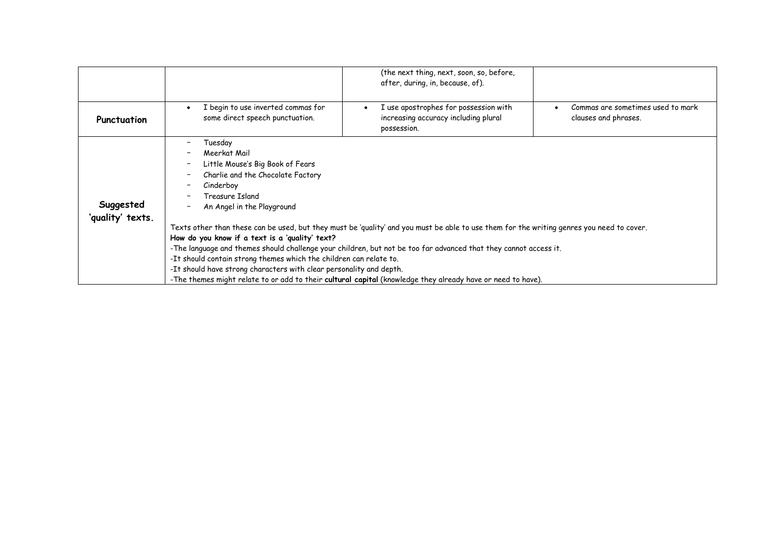|                               | (the next thing, next, soon, so, before,<br>after, during, in, because, of).                                                                                                                                                                                                                                                                                                                                                                                                                                                                                                                                                                                                                                                                  |  |
|-------------------------------|-----------------------------------------------------------------------------------------------------------------------------------------------------------------------------------------------------------------------------------------------------------------------------------------------------------------------------------------------------------------------------------------------------------------------------------------------------------------------------------------------------------------------------------------------------------------------------------------------------------------------------------------------------------------------------------------------------------------------------------------------|--|
| Punctuation                   | I begin to use inverted commas for<br>I use apostrophes for possession with<br>Commas are sometimes used to mark<br>some direct speech punctuation.<br>increasing accuracy including plural<br>clauses and phrases.<br>possession.                                                                                                                                                                                                                                                                                                                                                                                                                                                                                                            |  |
| Suggested<br>'quality' texts. | Tuesday<br>Meerkat Mail<br>Little Mouse's Big Book of Fears<br>Charlie and the Chocolate Factory<br>Cinderboy<br>Treasure Island<br>An Angel in the Playground<br>Texts other than these can be used, but they must be 'quality' and you must be able to use them for the writing genres you need to cover.<br>How do you know if a text is a 'quality' text?<br>-The language and themes should challenge your children, but not be too far advanced that they cannot access it.<br>-It should contain strong themes which the children can relate to.<br>-It should have strong characters with clear personality and depth.<br>-The themes might relate to or add to their cultural capital (knowledge they already have or need to have). |  |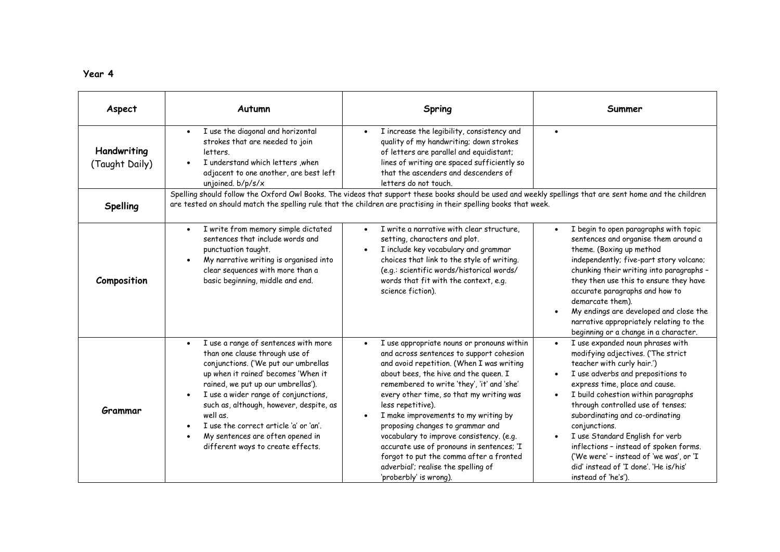| п<br>$\bullet$ |  |
|----------------|--|
|----------------|--|

| Aspect                                                                                                                                                                                                                                                                                   | Autumn                                                                                                                                                                                                                                                                                                                                                                                                        | Spring                                                                                                                                                                                                                                                                                                                                                                                                                                                                                                                                                                       | Summer                                                                                                                                                                                                                                                                                                                                                                                                                                                                                              |
|------------------------------------------------------------------------------------------------------------------------------------------------------------------------------------------------------------------------------------------------------------------------------------------|---------------------------------------------------------------------------------------------------------------------------------------------------------------------------------------------------------------------------------------------------------------------------------------------------------------------------------------------------------------------------------------------------------------|------------------------------------------------------------------------------------------------------------------------------------------------------------------------------------------------------------------------------------------------------------------------------------------------------------------------------------------------------------------------------------------------------------------------------------------------------------------------------------------------------------------------------------------------------------------------------|-----------------------------------------------------------------------------------------------------------------------------------------------------------------------------------------------------------------------------------------------------------------------------------------------------------------------------------------------------------------------------------------------------------------------------------------------------------------------------------------------------|
| Handwriting<br>(Taught Daily)                                                                                                                                                                                                                                                            | I use the diagonal and horizontal<br>$\bullet$<br>strokes that are needed to join<br>letters.<br>I understand which letters , when<br>adjacent to one another, are best left<br>unjoined. b/p/s/x                                                                                                                                                                                                             | I increase the legibility, consistency and<br>quality of my handwriting; down strokes<br>of letters are parallel and equidistant;<br>lines of writing are spaced sufficiently so<br>that the ascenders and descenders of<br>letters do not touch.                                                                                                                                                                                                                                                                                                                            | $\bullet$                                                                                                                                                                                                                                                                                                                                                                                                                                                                                           |
| Spelling should follow the Oxford Owl Books. The videos that support these books should be used and weekly spellings that are sent home and the children<br>are tested on should match the spelling rule that the children are practising in their spelling books that week.<br>Spelling |                                                                                                                                                                                                                                                                                                                                                                                                               |                                                                                                                                                                                                                                                                                                                                                                                                                                                                                                                                                                              |                                                                                                                                                                                                                                                                                                                                                                                                                                                                                                     |
| Composition                                                                                                                                                                                                                                                                              | I write from memory simple dictated<br>$\bullet$<br>sentences that include words and<br>punctuation taught.<br>My narrative writing is organised into<br>clear sequences with more than a<br>basic beginning, middle and end.                                                                                                                                                                                 | I write a narrative with clear structure,<br>setting, characters and plot.<br>I include key vocabulary and grammar<br>choices that link to the style of writing.<br>(e.g.: scientific words/historical words/<br>words that fit with the context, e.g.<br>science fiction).                                                                                                                                                                                                                                                                                                  | I begin to open paragraphs with topic<br>sentences and organise them around a<br>theme. (Boxing up method<br>independently; five-part story volcano;<br>chunking their writing into paragraphs -<br>they then use this to ensure they have<br>accurate paragraphs and how to<br>demarcate them).<br>My endings are developed and close the<br>narrative appropriately relating to the<br>beginning or a change in a character.                                                                      |
| Grammar                                                                                                                                                                                                                                                                                  | I use a range of sentences with more<br>than one clause through use of<br>conjunctions. ('We put our umbrellas<br>up when it rained' becomes 'When it<br>rained, we put up our umbrellas').<br>I use a wider range of conjunctions,<br>such as, although, however, despite, as<br>well as.<br>I use the correct article 'a' or 'an'.<br>My sentences are often opened in<br>different ways to create effects. | I use appropriate nouns or pronouns within<br>and across sentences to support cohesion<br>and avoid repetition. (When I was writing<br>about bees, the hive and the queen. I<br>remembered to write 'they', 'it' and 'she'<br>every other time, so that my writing was<br>less repetitive).<br>I make improvements to my writing by<br>proposing changes to grammar and<br>vocabulary to improve consistency. (e.g.<br>accurate use of pronouns in sentences; 'I<br>forgot to put the comma after a fronted<br>adverbial'; realise the spelling of<br>'proberbly' is wrong). | I use expanded noun phrases with<br>modifying adjectives. ('The strict<br>teacher with curly hair.')<br>I use adverbs and prepositions to<br>express time, place and cause.<br>I build cohestion within paragraphs<br>through controlled use of tenses;<br>subordinating and co-ordinating<br>conjunctions.<br>I use Standard English for verb<br>inflections - instead of spoken forms.<br>('We were' - instead of 'we was', or 'I<br>did' instead of 'I done'. 'He is/his'<br>instead of 'he's'). |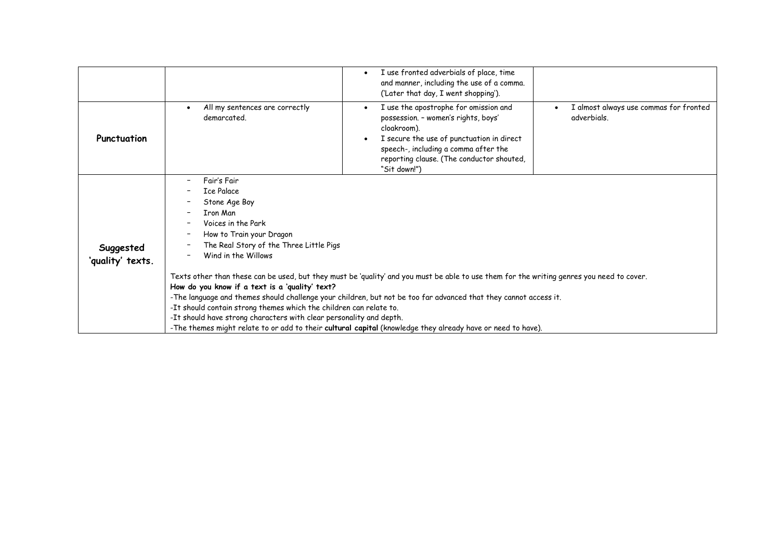|                               |                                                                                                                                                                                                                                                                                                                                                                                                                                                                                                                                                                                   | I use fronted adverbials of place, time<br>and manner, including the use of a comma.<br>('Later that day, I went shopping').                                                                                                                  |                                                       |  |
|-------------------------------|-----------------------------------------------------------------------------------------------------------------------------------------------------------------------------------------------------------------------------------------------------------------------------------------------------------------------------------------------------------------------------------------------------------------------------------------------------------------------------------------------------------------------------------------------------------------------------------|-----------------------------------------------------------------------------------------------------------------------------------------------------------------------------------------------------------------------------------------------|-------------------------------------------------------|--|
| Punctuation                   | All my sentences are correctly<br>demarcated.                                                                                                                                                                                                                                                                                                                                                                                                                                                                                                                                     | I use the apostrophe for omission and<br>possession. - women's rights, boys'<br>cloakroom).<br>I secure the use of punctuation in direct<br>speech-, including a comma after the<br>reporting clause. (The conductor shouted,<br>"Sit down!") | I almost always use commas for fronted<br>adverbials. |  |
| Suggested<br>'quality' texts. | Fair's Fair<br><b>Ice Palace</b><br>Stone Age Boy<br><b>Tron Man</b><br>Voices in the Park<br>How to Train your Dragon<br>The Real Story of the Three Little Pigs<br>Wind in the Willows<br>Texts other than these can be used, but they must be 'quality' and you must be able to use them for the writing genres you need to cover.<br>How do you know if a text is a 'quality' text?<br>-The language and themes should challenge your children, but not be too far advanced that they cannot access it.<br>-It should contain strong themes which the children can relate to. |                                                                                                                                                                                                                                               |                                                       |  |
|                               | -It should have strong characters with clear personality and depth.<br>-The themes might relate to or add to their cultural capital (knowledge they already have or need to have).                                                                                                                                                                                                                                                                                                                                                                                                |                                                                                                                                                                                                                                               |                                                       |  |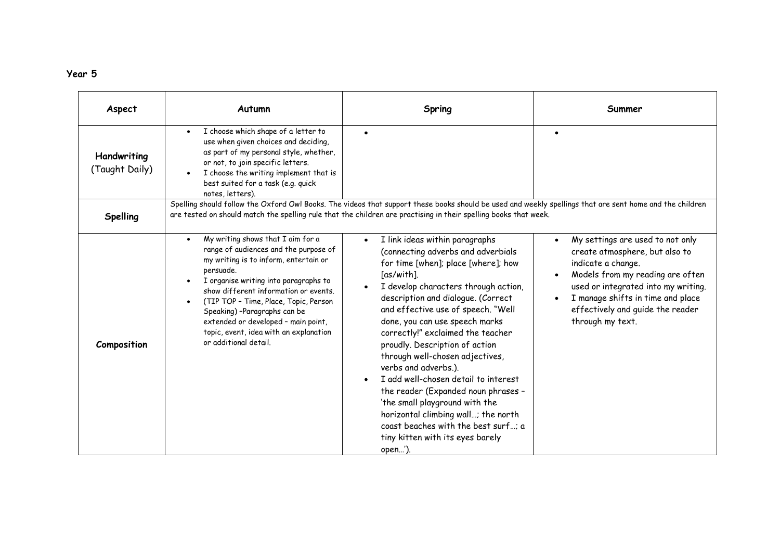| Aspect                        | Autumn                                                                                                                                                                                                                                                                                                                                                                                                             | Spring                                                                                                                                                                                                                                                                                                                                                                                                                                                                                                                                                                                                                                                                       | Summer                                                                                                                                                                                                                                                           |  |  |
|-------------------------------|--------------------------------------------------------------------------------------------------------------------------------------------------------------------------------------------------------------------------------------------------------------------------------------------------------------------------------------------------------------------------------------------------------------------|------------------------------------------------------------------------------------------------------------------------------------------------------------------------------------------------------------------------------------------------------------------------------------------------------------------------------------------------------------------------------------------------------------------------------------------------------------------------------------------------------------------------------------------------------------------------------------------------------------------------------------------------------------------------------|------------------------------------------------------------------------------------------------------------------------------------------------------------------------------------------------------------------------------------------------------------------|--|--|
| Handwriting<br>(Taught Daily) | I choose which shape of a letter to<br>$\bullet$<br>use when given choices and deciding,<br>as part of my personal style, whether,<br>or not, to join specific letters.<br>I choose the writing implement that is<br>best suited for a task (e.g. quick<br>notes, letters).                                                                                                                                        | $\bullet$                                                                                                                                                                                                                                                                                                                                                                                                                                                                                                                                                                                                                                                                    | $\bullet$                                                                                                                                                                                                                                                        |  |  |
| Spelling                      | Spelling should follow the Oxford Owl Books. The videos that support these books should be used and weekly spellings that are sent home and the children<br>are tested on should match the spelling rule that the children are practising in their spelling books that week.                                                                                                                                       |                                                                                                                                                                                                                                                                                                                                                                                                                                                                                                                                                                                                                                                                              |                                                                                                                                                                                                                                                                  |  |  |
| Composition                   | My writing shows that I aim for a<br>$\bullet$<br>range of audiences and the purpose of<br>my writing is to inform, entertain or<br>persuade.<br>I organise writing into paragraphs to<br>show different information or events.<br>(TIP TOP - Time, Place, Topic, Person<br>Speaking) -Paragraphs can be<br>extended or developed - main point,<br>topic, event, idea with an explanation<br>or additional detail. | I link ideas within paragraphs<br>$\bullet$<br>(connecting adverbs and adverbials<br>for time [when]; place [where]; how<br>[as/with].<br>I develop characters through action,<br>description and dialogue. (Correct<br>and effective use of speech. "Well<br>done, you can use speech marks<br>correctly!" exclaimed the teacher<br>proudly. Description of action<br>through well-chosen adjectives,<br>verbs and adverbs.).<br>I add well-chosen detail to interest<br>the reader (Expanded noun phrases -<br>'the small playground with the<br>horizontal climbing wall; the north<br>coast beaches with the best surf; a<br>tiny kitten with its eyes barely<br>open'). | My settings are used to not only<br>create atmosphere, but also to<br>indicate a change.<br>Models from my reading are often<br>used or integrated into my writing.<br>I manage shifts in time and place<br>effectively and guide the reader<br>through my text. |  |  |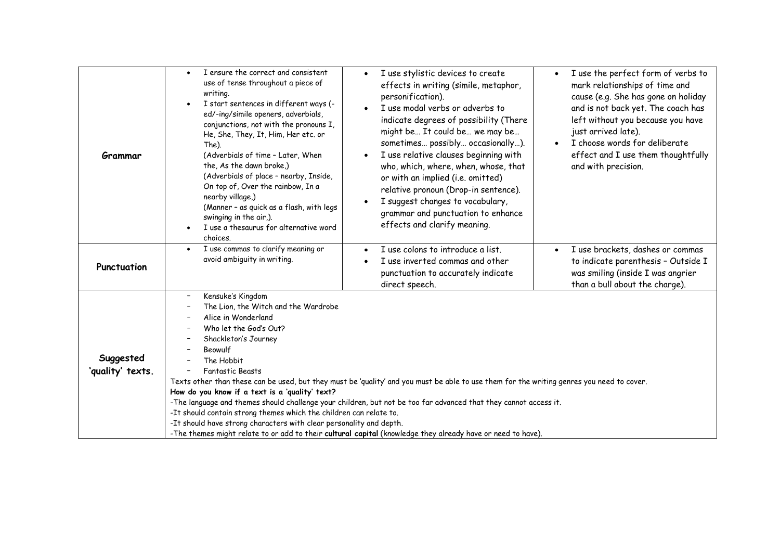| Grammar                       | I ensure the correct and consistent<br>$\bullet$<br>use of tense throughout a piece of<br>writing.<br>I start sentences in different ways (-<br>$\bullet$<br>ed/-ing/simile openers, adverbials,<br>conjunctions, not with the pronouns I,<br>He, She, They, It, Him, Her etc. or<br>The).<br>(Adverbials of time - Later, When<br>the, As the dawn broke,)<br>(Adverbials of place - nearby, Inside,<br>On top of, Over the rainbow, In a<br>nearby village,)<br>(Manner - as quick as a flash, with legs<br>swinging in the air,).<br>I use a thesaurus for alternative word<br>choices.                                                                                                                                                                            | I use stylistic devices to create<br>$\bullet$<br>effects in writing (simile, metaphor,<br>personification).<br>I use modal verbs or adverbs to<br>indicate degrees of possibility (There<br>might be It could be we may be<br>sometimes possibly occasionally).<br>I use relative clauses beginning with<br>who, which, where, when, whose, that<br>or with an implied (i.e. omitted)<br>relative pronoun (Drop-in sentence).<br>I suggest changes to vocabulary,<br>grammar and punctuation to enhance<br>effects and clarify meaning. | I use the perfect form of verbs to<br>$\bullet$<br>mark relationships of time and<br>cause (e.g. She has gone on holiday<br>and is not back yet. The coach has<br>left without you because you have<br>just arrived late).<br>I choose words for deliberate<br>$\bullet$<br>effect and I use them thoughtfully<br>and with precision. |
|-------------------------------|-----------------------------------------------------------------------------------------------------------------------------------------------------------------------------------------------------------------------------------------------------------------------------------------------------------------------------------------------------------------------------------------------------------------------------------------------------------------------------------------------------------------------------------------------------------------------------------------------------------------------------------------------------------------------------------------------------------------------------------------------------------------------|------------------------------------------------------------------------------------------------------------------------------------------------------------------------------------------------------------------------------------------------------------------------------------------------------------------------------------------------------------------------------------------------------------------------------------------------------------------------------------------------------------------------------------------|---------------------------------------------------------------------------------------------------------------------------------------------------------------------------------------------------------------------------------------------------------------------------------------------------------------------------------------|
| Punctuation                   | I use commas to clarify meaning or<br>$\bullet$<br>avoid ambiguity in writing.                                                                                                                                                                                                                                                                                                                                                                                                                                                                                                                                                                                                                                                                                        | I use colons to introduce a list.<br>I use inverted commas and other<br>punctuation to accurately indicate<br>direct speech.                                                                                                                                                                                                                                                                                                                                                                                                             | I use brackets, dashes or commas<br>to indicate parenthesis - Outside I<br>was smiling (inside I was angrier<br>than a bull about the charge).                                                                                                                                                                                        |
| Suggested<br>'quality' texts. | Kensuke's Kingdom<br>The Lion, the Witch and the Wardrobe<br>Alice in Wonderland<br>Who let the God's Out?<br>Shackleton's Journey<br>Beowulf<br>The Hobbit<br><b>Fantastic Beasts</b><br>Texts other than these can be used, but they must be 'quality' and you must be able to use them for the writing genres you need to cover.<br>How do you know if a text is a 'quality' text?<br>-The language and themes should challenge your children, but not be too far advanced that they cannot access it.<br>-It should contain strong themes which the children can relate to.<br>-It should have strong characters with clear personality and depth.<br>-The themes might relate to or add to their cultural capital (knowledge they already have or need to have). |                                                                                                                                                                                                                                                                                                                                                                                                                                                                                                                                          |                                                                                                                                                                                                                                                                                                                                       |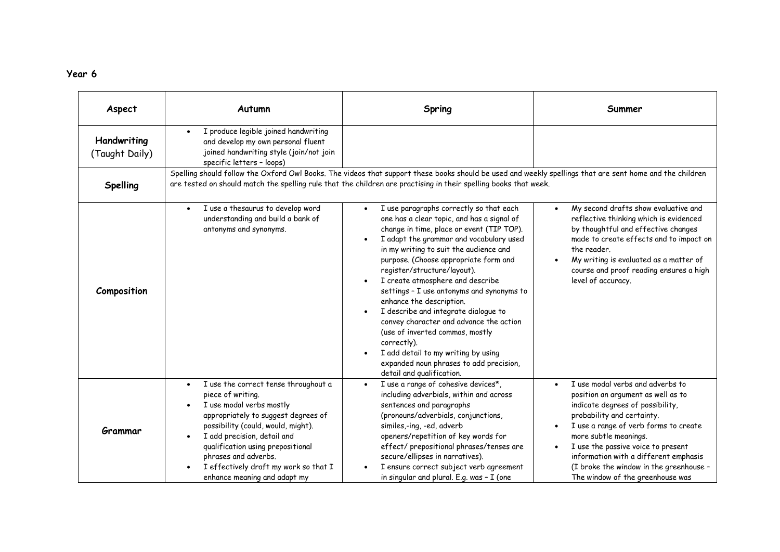| Aspect                        | Autumn                                                                                                                                                                                                                                                                                                                                               | Spring                                                                                                                                                                                                                                                                                                                                                                                                                                                                                                                                                                                                                                                           | Summer                                                                                                                                                                                                                                                                                                                                                                   |  |  |
|-------------------------------|------------------------------------------------------------------------------------------------------------------------------------------------------------------------------------------------------------------------------------------------------------------------------------------------------------------------------------------------------|------------------------------------------------------------------------------------------------------------------------------------------------------------------------------------------------------------------------------------------------------------------------------------------------------------------------------------------------------------------------------------------------------------------------------------------------------------------------------------------------------------------------------------------------------------------------------------------------------------------------------------------------------------------|--------------------------------------------------------------------------------------------------------------------------------------------------------------------------------------------------------------------------------------------------------------------------------------------------------------------------------------------------------------------------|--|--|
| Handwriting<br>(Taught Daily) | I produce legible joined handwriting<br>and develop my own personal fluent<br>joined handwriting style (join/not join<br>specific letters - loops)                                                                                                                                                                                                   |                                                                                                                                                                                                                                                                                                                                                                                                                                                                                                                                                                                                                                                                  |                                                                                                                                                                                                                                                                                                                                                                          |  |  |
| <b>Spelling</b>               | Spelling should follow the Oxford Owl Books. The videos that support these books should be used and weekly spellings that are sent home and the children<br>are tested on should match the spelling rule that the children are practising in their spelling books that week.                                                                         |                                                                                                                                                                                                                                                                                                                                                                                                                                                                                                                                                                                                                                                                  |                                                                                                                                                                                                                                                                                                                                                                          |  |  |
| Composition                   | I use a thesaurus to develop word<br>$\bullet$<br>understanding and build a bank of<br>antonyms and synonyms.                                                                                                                                                                                                                                        | I use paragraphs correctly so that each<br>one has a clear topic, and has a signal of<br>change in time, place or event (TIP TOP).<br>I adapt the grammar and vocabulary used<br>in my writing to suit the audience and<br>purpose. (Choose appropriate form and<br>register/structure/layout).<br>I create atmosphere and describe<br>settings - I use antonyms and synonyms to<br>enhance the description.<br>I describe and integrate dialogue to<br>convey character and advance the action<br>(use of inverted commas, mostly<br>correctly).<br>I add detail to my writing by using<br>expanded noun phrases to add precision,<br>detail and qualification. | My second drafts show evaluative and<br>reflective thinking which is evidenced<br>by thoughtful and effective changes<br>made to create effects and to impact on<br>the reader.<br>My writing is evaluated as a matter of<br>course and proof reading ensures a high<br>level of accuracy.                                                                               |  |  |
| Grammar                       | I use the correct tense throughout a<br>$\bullet$<br>piece of writing.<br>I use modal verbs mostly<br>appropriately to suggest degrees of<br>possibility (could, would, might).<br>I add precision, detail and<br>qualification using prepositional<br>phrases and adverbs.<br>I effectively draft my work so that I<br>enhance meaning and adapt my | I use a range of cohesive devices*,<br>including adverbials, within and across<br>sentences and paragraphs<br>(pronouns/adverbials, conjunctions,<br>similes,-ing, -ed, adverb<br>openers/repetition of key words for<br>effect/prepositional phrases/tenses are<br>secure/ellipses in narratives).<br>I ensure correct subject verb agreement<br>in singular and plural. E.g. was - I (one                                                                                                                                                                                                                                                                      | I use modal verbs and adverbs to<br>position an argument as well as to<br>indicate degrees of possibility,<br>probability and certainty.<br>I use a range of verb forms to create<br>more subtle meanings.<br>I use the passive voice to present<br>information with a different emphasis<br>(I broke the window in the greenhouse -<br>The window of the greenhouse was |  |  |